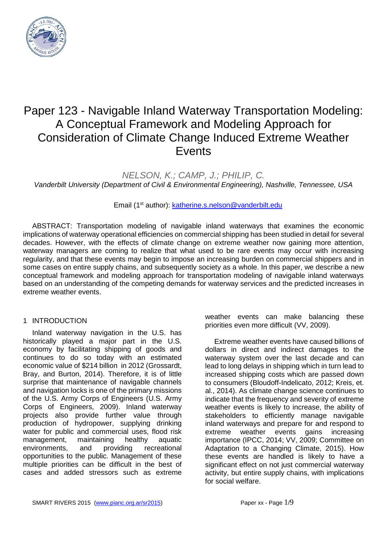

# Paper 123 - Navigable Inland Waterway Transportation Modeling: A Conceptual Framework and Modeling Approach for Consideration of Climate Change Induced Extreme Weather Events

*NELSON, K.; CAMP, J.; PHILIP, C.*

*Vanderbilt University (Department of Civil & Environmental Engineering), Nashville, Tennessee, USA* 

Email (1st author): [katherine.s.nelson@vanderbilt.edu](mailto:katherine.s.nelson@vanderbilt.edu) 

ABSTRACT: Transportation modeling of navigable inland waterways that examines the economic implications of waterway operational efficiencies on commercial shipping has been studied in detail for several decades. However, with the effects of climate change on extreme weather now gaining more attention, waterway managers are coming to realize that what used to be rare events may occur with increasing regularity, and that these events may begin to impose an increasing burden on commercial shippers and in some cases on entire supply chains, and subsequently society as a whole. In this paper, we describe a new conceptual framework and modeling approach for transportation modeling of navigable inland waterways based on an understanding of the competing demands for waterway services and the predicted increases in extreme weather events.

#### 1 INTRODUCTION

Inland waterway navigation in the U.S. has historically played a major part in the U.S. economy by facilitating shipping of goods and continues to do so today with an estimated economic value of \$214 billion in 2012 (Grossardt, Bray, and Burton, 2014). Therefore, it is of little surprise that maintenance of navigable channels and navigation locks is one of the primary missions of the U.S. Army Corps of Engineers (U.S. Army Corps of Engineers, 2009). Inland waterway projects also provide further value through production of hydropower, supplying drinking water for public and commercial uses, flood risk<br>management, maintaining healthy aquatic management, maintaining healthy aquatic environments, and providing recreational opportunities to the public. Management of these multiple priorities can be difficult in the best of cases and added stressors such as extreme

weather events can make balancing these priorities even more difficult (VV, 2009).

Extreme weather events have caused billions of dollars in direct and indirect damages to the waterway system over the last decade and can lead to long delays in shipping which in turn lead to increased shipping costs which are passed down to consumers (Bloudoff-Indelicato, 2012; Kreis, et. al., 2014). As climate change science continues to indicate that the frequency and severity of extreme weather events is likely to increase, the ability of stakeholders to efficiently manage navigable inland waterways and prepare for and respond to extreme weather events gains increasing importance (IPCC, 2014; VV, 2009; Committee on Adaptation to a Changing Climate, 2015). How these events are handled is likely to have a significant effect on not just commercial waterway activity, but entire supply chains, with implications for social welfare.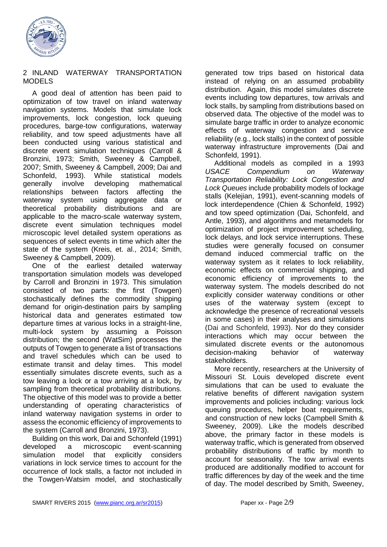

#### 2 INLAND WATERWAY TRANSPORTATION MODELS

A good deal of attention has been paid to optimization of tow travel on inland waterway navigation systems. Models that simulate lock improvements, lock congestion, lock queuing procedures, barge-tow configurations, waterway reliability, and tow speed adjustments have all been conducted using various statistical and discrete event simulation techniques (Carroll & Bronzini, 1973; Smith, Sweeney & Campbell, 2007; Smith, Sweeney & Campbell, 2009; Dai and Schonfeld, 1993). While statistical models generally involve developing mathematical relationships between factors affecting the waterway system using aggregate data or theoretical probability distributions and are applicable to the macro-scale waterway system, discrete event simulation techniques model microscopic level detailed system operations as sequences of select events in time which alter the state of the system (Kreis, et. al., 2014; Smith, Sweeney & Campbell, 2009).

One of the earliest detailed waterway transportation simulation models was developed by Carroll and Bronzini in 1973. This simulation consisted of two parts: the first (Towgen) stochastically defines the commodity shipping demand for origin-destination pairs by sampling historical data and generates estimated tow departure times at various locks in a straight-line, multi-lock system by assuming a Poisson distribution; the second (WatSim) processes the outputs of Towgen to generate a list of transactions and travel schedules which can be used to estimate transit and delay times. This model essentially simulates discrete events, such as a tow leaving a lock or a tow arriving at a lock, by sampling from theoretical probability distributions. The objective of this model was to provide a better understanding of operating characteristics of inland waterway navigation systems in order to assess the economic efficiency of improvements to the system (Carroll and Bronzini, 1973).

Building on this work, Dai and Schonfeld (1991) developed a microscopic event-scanning simulation model that explicitly considers variations in lock service times to account for the occurrence of lock stalls, a factor not included in the Towgen-Watsim model, and stochastically generated tow trips based on historical data instead of relying on an assumed probability distribution. Again, this model simulates discrete events including tow departures, tow arrivals and lock stalls, by sampling from distributions based on observed data. The objective of the model was to simulate barge traffic in order to analyze economic effects of waterway congestion and service reliability (e.g., lock stalls) in the context of possible waterway infrastructure improvements (Dai and Schonfeld, 1991).

Additional models as compiled in a 1993 *USACE Compendium on Waterway Transportation Reliability: Lock Congestion and Lock Queues* include probability models of lockage stalls (Kelejian, 1991), event-scanning models of lock interdependence (Chien & Schonfeld, 1992) and tow speed optimization (Dai, Schonfeld, and Antle, 1993), and algorithms and metamodels for optimization of project improvement scheduling, lock delays, and lock service interruptions. These studies were generally focused on consumer demand induced commercial traffic on the waterway system as it relates to lock reliability, economic effects on commercial shipping, and economic efficiency of improvements to the waterway system. The models described do not explicitly consider waterway conditions or other uses of the waterway system (except to acknowledge the presence of recreational vessels in some cases) in their analyses and simulations (Dai and Schonfeld, 1993). Nor do they consider interactions which may occur between the simulated discrete events or the autonomous decision-making behavior of waterway stakeholders.

More recently, researchers at the University of Missouri St. Louis developed discrete event simulations that can be used to evaluate the relative benefits of different navigation system improvements and policies including: various lock queuing procedures, helper boat requirements, and construction of new locks (Campbell Smith & Sweeney, 2009). Like the models described above, the primary factor in these models is waterway traffic, which is generated from observed probability distributions of traffic by month to account for seasonality. The tow arrival events produced are additionally modified to account for traffic differences by day of the week and the time of day. The model described by Smith, Sweeney,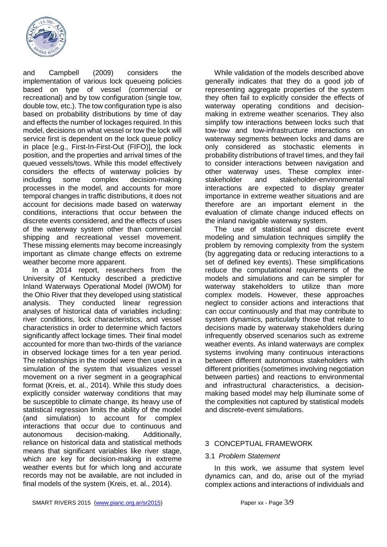

and Campbell (2009) considers the implementation of various lock queueing policies based on type of vessel (commercial or recreational) and by tow configuration (single tow, double tow, etc.). The tow configuration type is also based on probability distributions by time of day and effects the number of lockages required. In this model, decisions on what vessel or tow the lock will service first is dependent on the lock queue policy in place [e.g., First-In-First-Out (FIFO)], the lock position, and the properties and arrival times of the queued vessels/tows. While this model effectively considers the effects of waterway policies by including some complex decision-making processes in the model, and accounts for more temporal changes in traffic distributions, it does not account for decisions made based on waterway conditions, interactions that occur between the discrete events considered, and the effects of uses of the waterway system other than commercial shipping and recreational vessel movement. These missing elements may become increasingly important as climate change effects on extreme weather become more apparent.

In a 2014 report, researchers from the University of Kentucky described a predictive Inland Waterways Operational Model (IWOM) for the Ohio River that they developed using statistical analysis. They conducted linear regression analyses of historical data of variables including: river conditions, lock characteristics, and vessel characteristics in order to determine which factors significantly affect lockage times. Their final model accounted for more than two-thirds of the variance in observed lockage times for a ten year period. The relationships in the model were then used in a simulation of the system that visualizes vessel movement on a river segment in a geographical format (Kreis, et. al., 2014). While this study does explicitly consider waterway conditions that may be susceptible to climate change, its heavy use of statistical regression limits the ability of the model (and simulation) to account for complex interactions that occur due to continuous and autonomous decision-making. Additionally, reliance on historical data and statistical methods means that significant variables like river stage, which are key for decision-making in extreme weather events but for which long and accurate records may not be available, are not included in final models of the system (Kreis, et. al., 2014).

While validation of the models described above generally indicates that they do a good job of representing aggregate properties of the system they often fail to explicitly consider the effects of waterway operating conditions and decisionmaking in extreme weather scenarios. They also simplify tow interactions between locks such that tow-tow and tow-infrastructure interactions on waterway segments between locks and dams are only considered as stochastic elements in probability distributions of travel times, and they fail to consider interactions between navigation and other waterway uses. These complex interstakeholder and stakeholder-environmental interactions are expected to display greater importance in extreme weather situations and are therefore are an important element in the evaluation of climate change induced effects on the inland navigable waterway system.

The use of statistical and discrete event modeling and simulation techniques simplify the problem by removing complexity from the system (by aggregating data or reducing interactions to a set of defined key events). These simplifications reduce the computational requirements of the models and simulations and can be simpler for waterway stakeholders to utilize than more complex models. However, these approaches neglect to consider actions and interactions that can occur continuously and that may contribute to system dynamics, particularly those that relate to decisions made by waterway stakeholders during infrequently observed scenarios such as extreme weather events. As inland waterways are complex systems involving many continuous interactions between different autonomous stakeholders with different priorities (sometimes involving negotiation between parties) and reactions to environmental and infrastructural characteristics, a decisionmaking based model may help illuminate some of the complexities not captured by statistical models and discrete-event simulations.

# 3 CONCEPTUAL FRAMEWORK

#### 3.1 *Problem Statement*

In this work, we assume that system level dynamics can, and do, arise out of the myriad complex actions and interactions of individuals and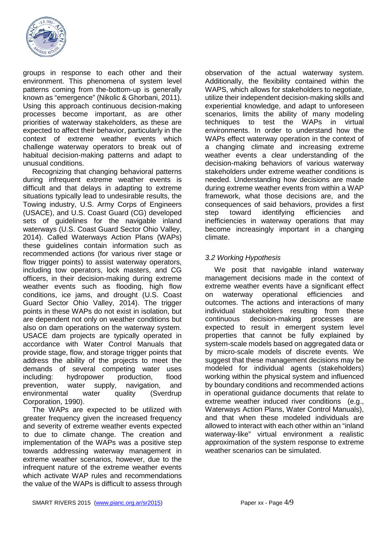

groups in response to each other and their environment. This phenomena of system level patterns coming from the-bottom-up is generally known as "emergence" (Nikolic & Ghorbani, 2011). Using this approach continuous decision-making processes become important, as are other priorities of waterway stakeholders, as these are expected to affect their behavior, particularly in the context of extreme weather events which challenge waterway operators to break out of habitual decision-making patterns and adapt to unusual conditions.

Recognizing that changing behavioral patterns during infrequent extreme weather events is difficult and that delays in adapting to extreme situations typically lead to undesirable results, the Towing industry, U.S. Army Corps of Engineers (USACE), and U.S. Coast Guard (CG) developed sets of guidelines for the navigable inland waterways (U.S. Coast Guard Sector Ohio Valley, 2014). Called Waterways Action Plans (WAPs) these guidelines contain information such as recommended actions (for various river stage or flow trigger points) to assist waterway operators, including tow operators, lock masters, and CG officers, in their decision-making during extreme weather events such as flooding, high flow conditions, ice jams, and drought (U.S. Coast Guard Sector Ohio Valley, 2014). The trigger points in these WAPs do not exist in isolation, but are dependent not only on weather conditions but also on dam operations on the waterway system. USACE dam projects are typically operated in accordance with Water Control Manuals that provide stage, flow, and storage trigger points that address the ability of the projects to meet the demands of several competing water uses including: hydropower production, flood prevention, water supply, navigation, and environmental water quality (Sverdrup Corporation, 1990).

The WAPs are expected to be utilized with greater frequency given the increased frequency and severity of extreme weather events expected to due to climate change. The creation and implementation of the WAPs was a positive step towards addressing waterway management in extreme weather scenarios, however, due to the infrequent nature of the extreme weather events which activate WAP rules and recommendations the value of the WAPs is difficult to assess through

observation of the actual waterway system. Additionally, the flexibility contained within the WAPS, which allows for stakeholders to negotiate, utilize their independent decision-making skills and experiential knowledge, and adapt to unforeseen scenarios, limits the ability of many modeling techniques to test the WAPs in virtual environments. In order to understand how the WAPs effect waterway operation in the context of a changing climate and increasing extreme weather events a clear understanding of the decision-making behaviors of various waterway stakeholders under extreme weather conditions is needed. Understanding how decisions are made during extreme weather events from within a WAP framework, what those decisions are, and the consequences of said behaviors, provides a first step toward identifying efficiencies and inefficiencies in waterway operations that may become increasingly important in a changing climate.

# *3.2 Working Hypothesis*

We posit that navigable inland waterway management decisions made in the context of extreme weather events have a significant effect on waterway operational efficiencies and outcomes. The actions and interactions of many individual stakeholders resulting from these continuous decision-making processes are expected to result in emergent system level properties that cannot be fully explained by system-scale models based on aggregated data or by micro-scale models of discrete events. We suggest that these management decisions may be modeled for individual agents (stakeholders) working within the physical system and influenced by boundary conditions and recommended actions in operational guidance documents that relate to extreme weather induced river conditions (e.g., Waterways Action Plans, Water Control Manuals), and that when these modeled individuals are allowed to interact with each other within an "inland waterway-like" virtual environment a realistic approximation of the system response to extreme weather scenarios can be simulated.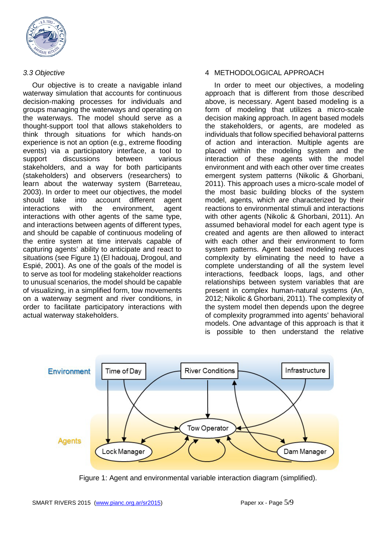

## *3.3 Objective*

Our objective is to create a navigable inland waterway simulation that accounts for continuous decision-making processes for individuals and groups managing the waterways and operating on the waterways. The model should serve as a thought-support tool that allows stakeholders to think through situations for which hands-on experience is not an option (e.g., extreme flooding events) via a participatory interface, a tool to support discussions between various stakeholders, and a way for both participants (stakeholders) and observers (researchers) to learn about the waterway system (Barreteau, 2003). In order to meet our objectives, the model should take into account different agent interactions with the environment, agent interactions with other agents of the same type, and interactions between agents of different types, and should be capable of continuous modeling of the entire system at time intervals capable of capturing agents' ability to anticipate and react to situations (see Figure 1) (El hadouaj, Drogoul, and Espié, 2001). As one of the goals of the model is to serve as tool for modeling stakeholder reactions to unusual scenarios, the model should be capable of visualizing, in a simplified form, tow movements on a waterway segment and river conditions, in order to facilitate participatory interactions with actual waterway stakeholders.

## 4 METHODOLOGICAL APPROACH

In order to meet our objectives, a modeling approach that is different from those described above, is necessary. Agent based modeling is a form of modeling that utilizes a micro-scale decision making approach. In agent based models the stakeholders, or agents, are modeled as individuals that follow specified behavioral patterns of action and interaction. Multiple agents are placed within the modeling system and the interaction of these agents with the model environment and with each other over time creates emergent system patterns (Nikolic & Ghorbani, 2011). This approach uses a micro-scale model of the most basic building blocks of the system model, agents, which are characterized by their reactions to environmental stimuli and interactions with other agents (Nikolic & Ghorbani, 2011). An assumed behavioral model for each agent type is created and agents are then allowed to interact with each other and their environment to form system patterns. Agent based modeling reduces complexity by eliminating the need to have a complete understanding of all the system level interactions, feedback loops, lags, and other relationships between system variables that are present in complex human-natural systems (An, 2012; Nikolic & Ghorbani, 2011). The complexity of the system model then depends upon the degree of complexity programmed into agents' behavioral models. One advantage of this approach is that it is possible to then understand the relative



Figure 1: Agent and environmental variable interaction diagram (simplified).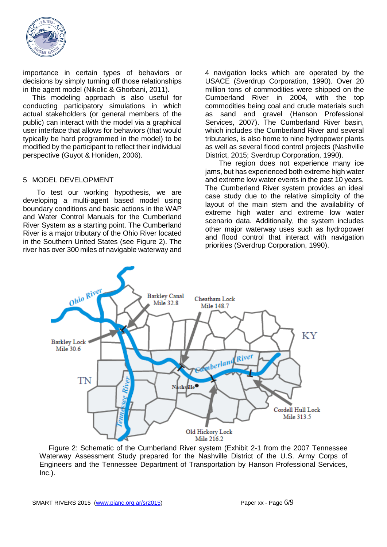

importance in certain types of behaviors or decisions by simply turning off those relationships in the agent model (Nikolic & Ghorbani, 2011).

This modeling approach is also useful for conducting participatory simulations in which actual stakeholders (or general members of the public) can interact with the model via a graphical user interface that allows for behaviors (that would typically be hard programmed in the model) to be modified by the participant to reflect their individual perspective (Guyot & Honiden, 2006).

#### 5 MODEL DEVELOPMENT

To test our working hypothesis, we are developing a multi-agent based model using boundary conditions and basic actions in the WAP and Water Control Manuals for the Cumberland River System as a starting point. The Cumberland River is a major tributary of the Ohio River located in the Southern United States (see Figure 2). The river has over 300 miles of navigable waterway and

4 navigation locks which are operated by the USACE (Sverdrup Corporation, 1990). Over 20 million tons of commodities were shipped on the Cumberland River in 2004, with the top commodities being coal and crude materials such as sand and gravel (Hanson Professional Services, 2007). The Cumberland River basin, which includes the Cumberland River and several tributaries, is also home to nine hydropower plants as well as several flood control projects (Nashville District, 2015; Sverdrup Corporation, 1990).

The region does not experience many ice jams, but has experienced both extreme high water and extreme low water events in the past 10 years. The Cumberland River system provides an ideal case study due to the relative simplicity of the layout of the main stem and the availability of extreme high water and extreme low water scenario data. Additionally, the system includes other major waterway uses such as hydropower and flood control that interact with navigation priorities (Sverdrup Corporation, 1990).



Figure 2: Schematic of the Cumberland River system (Exhibit 2-1 from the 2007 Tennessee Waterway Assessment Study prepared for the Nashville District of the U.S. Army Corps of Engineers and the Tennessee Department of Transportation by Hanson Professional Services, Inc.).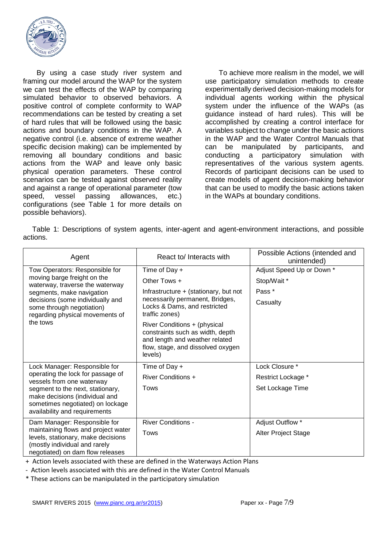

By using a case study river system and framing our model around the WAP for the system we can test the effects of the WAP by comparing simulated behavior to observed behaviors. A positive control of complete conformity to WAP recommendations can be tested by creating a set of hard rules that will be followed using the basic actions and boundary conditions in the WAP. A negative control (i.e. absence of extreme weather specific decision making) can be implemented by removing all boundary conditions and basic actions from the WAP and leave only basic physical operation parameters. These control scenarios can be tested against observed reality and against a range of operational parameter (tow speed, vessel passing allowances, etc.) configurations (see Table 1 for more details on possible behaviors).

To achieve more realism in the model, we will use participatory simulation methods to create experimentally derived decision-making models for individual agents working within the physical system under the influence of the WAPs (as guidance instead of hard rules). This will be accomplished by creating a control interface for variables subject to change under the basic actions in the WAP and the Water Control Manuals that can be manipulated by participants, and conducting a participatory simulation with representatives of the various system agents. Records of participant decisions can be used to create models of agent decision-making behavior that can be used to modify the basic actions taken in the WAPs at boundary conditions.

Table 1: Descriptions of system agents, inter-agent and agent-environment interactions, and possible actions.

| Agent                                                                                                                                                                                                                                         | React to/ Interacts with                                                                                                                           | Possible Actions (intended and<br>unintended) |
|-----------------------------------------------------------------------------------------------------------------------------------------------------------------------------------------------------------------------------------------------|----------------------------------------------------------------------------------------------------------------------------------------------------|-----------------------------------------------|
| Tow Operators: Responsible for<br>moving barge freight on the<br>waterway, traverse the waterway<br>segments, make navigation<br>decisions (some individually and<br>some through negotiation)<br>regarding physical movements of<br>the tows | Time of Day +                                                                                                                                      | Adjust Speed Up or Down *                     |
|                                                                                                                                                                                                                                               | Other Tows +                                                                                                                                       | Stop/Wait *                                   |
|                                                                                                                                                                                                                                               | Infrastructure + (stationary, but not                                                                                                              | Pass <sup>*</sup>                             |
|                                                                                                                                                                                                                                               | necessarily permanent, Bridges,<br>Locks & Dams, and restricted<br>traffic zones)                                                                  | Casualty                                      |
|                                                                                                                                                                                                                                               | River Conditions + (physical<br>constraints such as width, depth<br>and length and weather related<br>flow, stage, and dissolved oxygen<br>levels) |                                               |
| Lock Manager: Responsible for<br>operating the lock for passage of<br>vessels from one waterway<br>segment to the next, stationary,<br>make decisions (individual and<br>sometimes negotiated) on lockage<br>availability and requirements    | Time of Day +                                                                                                                                      | Lock Closure *                                |
|                                                                                                                                                                                                                                               | <b>River Conditions +</b>                                                                                                                          | Restrict Lockage *                            |
|                                                                                                                                                                                                                                               | Tows                                                                                                                                               | Set Lockage Time                              |
| Dam Manager: Responsible for                                                                                                                                                                                                                  | <b>River Conditions -</b>                                                                                                                          | Adjust Outflow *                              |
| maintaining flows and project water<br>levels, stationary, make decisions<br>(mostly individual and rarely<br>negotiated) on dam flow releases                                                                                                | <b>Tows</b>                                                                                                                                        | <b>Alter Project Stage</b>                    |

+ Action levels associated with these are defined in the Waterways Action Plans

- Action levels associated with this are defined in the Water Control Manuals

\* These actions can be manipulated in the participatory simulation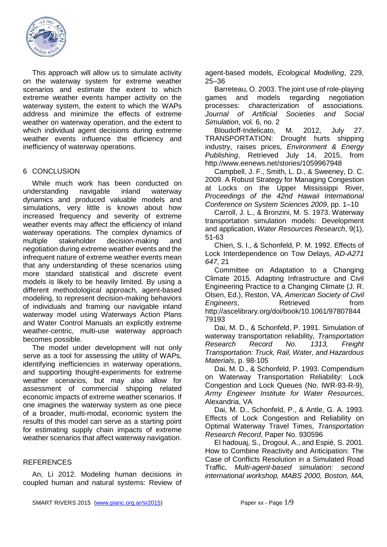

This approach will allow us to simulate activity on the waterway system for extreme weather scenarios and estimate the extent to which extreme weather events hamper activity on the waterway system, the extent to which the WAPs address and minimize the effects of extreme weather on waterway operation, and the extent to which individual agent decisions during extreme weather events influence the efficiency and inefficiency of waterway operations.

## 6 CONCLUSION

While much work has been conducted on understanding navigable inland waterway dynamics and produced valuable models and simulations, very little is known about how increased frequency and severity of extreme weather events may affect the efficiency of inland waterway operations. The complex dynamics of multiple stakeholder decision-making and negotiation during extreme weather events and the infrequent nature of extreme weather events mean that any understanding of these scenarios using more standard statistical and discrete event models is likely to be heavily limited. By using a different methodological approach, agent-based modeling, to represent decision-making behaviors of individuals and framing our navigable inland waterway model using Waterways Action Plans and Water Control Manuals an explicitly extreme weather-centric, multi-use waterway approach becomes possible.

The model under development will not only serve as a tool for assessing the utility of WAPs, identifying inefficiencies in waterway operations, and supporting thought-experiments for extreme weather scenarios, but may also allow for assessment of commercial shipping related economic impacts of extreme weather scenarios. If one imagines the waterway system as one piece of a broader, multi-modal, economic system the results of this model can serve as a starting point for estimating supply chain impacts of extreme weather scenarios that affect waterway navigation.

# **REFERENCES**

An, Li 2012. Modeling human decisions in coupled human and natural systems: Review of agent-based models, *Ecological Modelling*, 229, 25–36

Barreteau, O. 2003. The joint use of role-playing games and models regarding negotiation processes: characterization of associations. *Journal of Artificial Societies and Social Simulation*, vol. 6, no. 2

Bloudoff-Indelicato, M. 2012, July 27. TRANSPORTATION: Drought hurts shipping industry, raises prices, *Environment & Energy Publishing*, Retrieved July 14, 2015, from http://www.eenews.net/stories/1059967948

Campbell, J. F., Smith, L. D., & Sweeney, D. C. 2009. A Robust Strategy for Managing Congestion at Locks on the Upper Mississippi River, *Proceedings of the 42nd Hawaii International Conference on System Sciences 2009*, pp. 1–10

Carroll, J. L., & Bronzini, M. S. 1973. Waterway transportation simulation models: Development and application, *Water Resources Research*, 9(1), 51-63

Chien, S. I., & Schonfeld, P. M. 1992. Effects of Lock Interdependence on Tow Delays, *AD-A271 647*, 21

Committee on Adaptation to a Changing Climate 2015. Adapting Infrastructure and Civil Engineering Practice to a Changing Climate (J. R. Olsen, Ed.), Reston, VA, *American Society of Civil Engineers*, **Retrieved https://numbers.** http://ascelibrary.org/doi/book/10.1061/97807844 79193

Dai, M. D., & Schonfeld, P. 1991. Simulation of waterway transportation reliability, *Transportation Research Record No. 1313, Freight Transportation: Truck, Rail, Water, and Hazardous Materials*, p. 98-105

Dai, M. D., & Schonfeld, P. 1993. Compendium on Waterway Transportation Reliability: Lock Congestion and Lock Queues (No. IWR-93-R-9), *Army Engineer Institute for Water Resources*, Alexandria, VA

Dai, M. D., Schonfeld, P., & Antle, G. A. 1993. Effects of Lock Congestion and Reliability on Optimal Waterway Travel Times, *Transportation Research Record*, Paper No. 930596

El hadouaj, S., Drogoul, A., and Espié, S. 2001. How to Combine Reactivity and Anticipation: The Case of Conflicts Resolution in a Simulated Road Traffic, *Multi-agent-based simulation: second international workshop, MABS 2000, Boston, MA,*